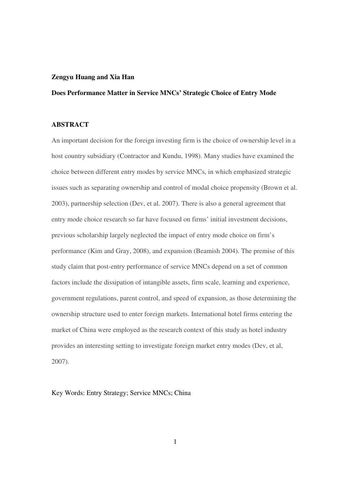#### **Zengyu Huang and Xia Han**

# **Does Performance Matter in Service MNCs' Strategic Choice of Entry Mode**

#### **ABSTRACT**

An important decision for the foreign investing firm is the choice of ownership level in a host country subsidiary (Contractor and Kundu, 1998). Many studies have examined the choice between different entry modes by service MNCs, in which emphasized strategic issues such as separating ownership and control of modal choice propensity (Brown et al. 2003), partnership selection (Dev, et al. 2007). There is also a general agreement that entry mode choice research so far have focused on firms' initial investment decisions, previous scholarship largely neglected the impact of entry mode choice on firm's performance (Kim and Gray, 2008), and expansion (Beamish 2004). The premise of this study claim that post-entry performance of service MNCs depend on a set of common factors include the dissipation of intangible assets, firm scale, learning and experience, government regulations, parent control, and speed of expansion, as those determining the ownership structure used to enter foreign markets. International hotel firms entering the market of China were employed as the research context of this study as hotel industry provides an interesting setting to investigate foreign market entry modes (Dev, et al, 2007).

Key Words: Entry Strategy; Service MNCs; China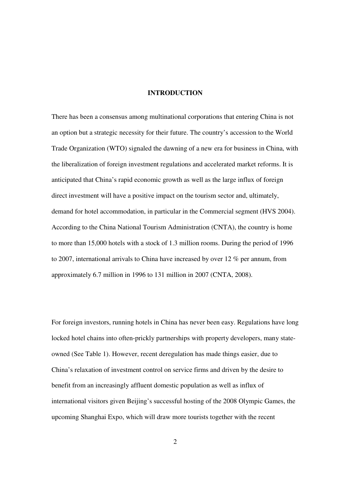#### **INTRODUCTION**

There has been a consensus among multinational corporations that entering China is not an option but a strategic necessity for their future. The country's accession to the World Trade Organization (WTO) signaled the dawning of a new era for business in China, with the liberalization of foreign investment regulations and accelerated market reforms. It is anticipated that China's rapid economic growth as well as the large influx of foreign direct investment will have a positive impact on the tourism sector and, ultimately, demand for hotel accommodation, in particular in the Commercial segment (HVS 2004). According to the China National Tourism Administration (CNTA), the country is home to more than 15,000 hotels with a stock of 1.3 million rooms. During the period of 1996 to 2007, international arrivals to China have increased by over 12 % per annum, from approximately 6.7 million in 1996 to 131 million in 2007 (CNTA, 2008).

For foreign investors, running hotels in China has never been easy. Regulations have long locked hotel chains into often-prickly partnerships with property developers, many stateowned (See Table 1). However, recent deregulation has made things easier, due to China's relaxation of investment control on service firms and driven by the desire to benefit from an increasingly affluent domestic population as well as influx of international visitors given Beijing's successful hosting of the 2008 Olympic Games, the upcoming Shanghai Expo, which will draw more tourists together with the recent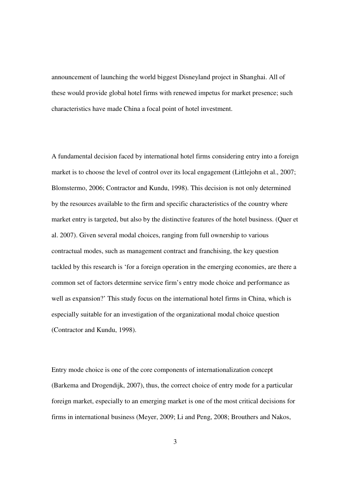announcement of launching the world biggest Disneyland project in Shanghai. All of these would provide global hotel firms with renewed impetus for market presence; such characteristics have made China a focal point of hotel investment.

A fundamental decision faced by international hotel firms considering entry into a foreign market is to choose the level of control over its local engagement (Littlejohn et al., 2007; Blomstermo, 2006; Contractor and Kundu, 1998). This decision is not only determined by the resources available to the firm and specific characteristics of the country where market entry is targeted, but also by the distinctive features of the hotel business. (Quer et al. 2007). Given several modal choices, ranging from full ownership to various contractual modes, such as management contract and franchising, the key question tackled by this research is 'for a foreign operation in the emerging economies, are there a common set of factors determine service firm's entry mode choice and performance as well as expansion?' This study focus on the international hotel firms in China, which is especially suitable for an investigation of the organizational modal choice question (Contractor and Kundu, 1998).

Entry mode choice is one of the core components of internationalization concept (Barkema and Drogendijk, 2007), thus, the correct choice of entry mode for a particular foreign market, especially to an emerging market is one of the most critical decisions for firms in international business (Meyer, 2009; Li and Peng, 2008; Brouthers and Nakos,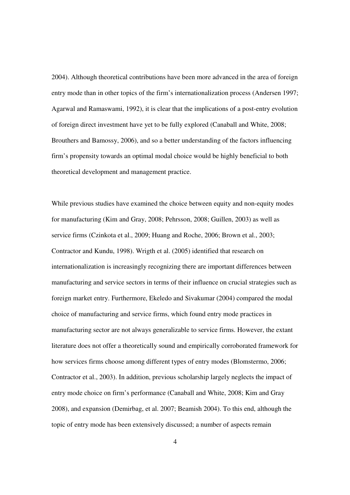2004). Although theoretical contributions have been more advanced in the area of foreign entry mode than in other topics of the firm's internationalization process (Andersen 1997; Agarwal and Ramaswami, 1992), it is clear that the implications of a post-entry evolution of foreign direct investment have yet to be fully explored (Canaball and White, 2008; Brouthers and Bamossy, 2006), and so a better understanding of the factors influencing firm's propensity towards an optimal modal choice would be highly beneficial to both theoretical development and management practice.

While previous studies have examined the choice between equity and non-equity modes for manufacturing (Kim and Gray, 2008; Pehrsson, 2008; Guillen, 2003) as well as service firms (Czinkota et al., 2009; Huang and Roche, 2006; Brown et al., 2003; Contractor and Kundu, 1998). Wrigth et al. (2005) identified that research on internationalization is increasingly recognizing there are important differences between manufacturing and service sectors in terms of their influence on crucial strategies such as foreign market entry. Furthermore, Ekeledo and Sivakumar (2004) compared the modal choice of manufacturing and service firms, which found entry mode practices in manufacturing sector are not always generalizable to service firms. However, the extant literature does not offer a theoretically sound and empirically corroborated framework for how services firms choose among different types of entry modes (Blomstermo, 2006; Contractor et al., 2003). In addition, previous scholarship largely neglects the impact of entry mode choice on firm's performance (Canaball and White, 2008; Kim and Gray 2008), and expansion (Demirbag, et al. 2007; Beamish 2004). To this end, although the topic of entry mode has been extensively discussed; a number of aspects remain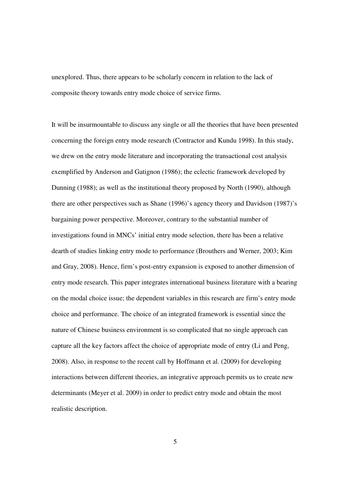unexplored. Thus, there appears to be scholarly concern in relation to the lack of composite theory towards entry mode choice of service firms.

It will be insurmountable to discuss any single or all the theories that have been presented concerning the foreign entry mode research (Contractor and Kundu 1998). In this study, we drew on the entry mode literature and incorporating the transactional cost analysis exemplified by Anderson and Gatignon (1986); the eclectic framework developed by Dunning (1988); as well as the institutional theory proposed by North (1990), although there are other perspectives such as Shane (1996)'s agency theory and Davidson (1987)'s bargaining power perspective. Moreover, contrary to the substantial number of investigations found in MNCs' initial entry mode selection, there has been a relative dearth of studies linking entry mode to performance (Brouthers and Werner, 2003; Kim and Gray, 2008). Hence, firm's post-entry expansion is exposed to another dimension of entry mode research. This paper integrates international business literature with a bearing on the modal choice issue; the dependent variables in this research are firm's entry mode choice and performance. The choice of an integrated framework is essential since the nature of Chinese business environment is so complicated that no single approach can capture all the key factors affect the choice of appropriate mode of entry (Li and Peng, 2008). Also, in response to the recent call by Hoffmann et al. (2009) for developing interactions between different theories, an integrative approach permits us to create new determinants (Meyer et al. 2009) in order to predict entry mode and obtain the most realistic description.

5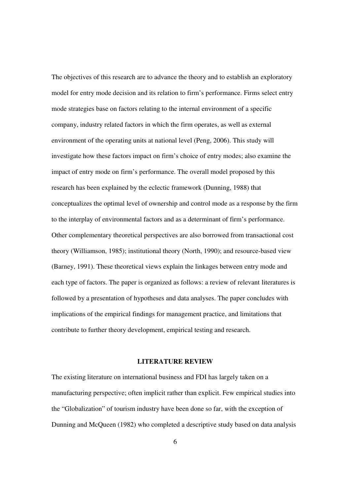The objectives of this research are to advance the theory and to establish an exploratory model for entry mode decision and its relation to firm's performance. Firms select entry mode strategies base on factors relating to the internal environment of a specific company, industry related factors in which the firm operates, as well as external environment of the operating units at national level (Peng, 2006). This study will investigate how these factors impact on firm's choice of entry modes; also examine the impact of entry mode on firm's performance. The overall model proposed by this research has been explained by the eclectic framework (Dunning, 1988) that conceptualizes the optimal level of ownership and control mode as a response by the firm to the interplay of environmental factors and as a determinant of firm's performance. Other complementary theoretical perspectives are also borrowed from transactional cost theory (Williamson, 1985); institutional theory (North, 1990); and resource-based view (Barney, 1991). These theoretical views explain the linkages between entry mode and each type of factors. The paper is organized as follows: a review of relevant literatures is followed by a presentation of hypotheses and data analyses. The paper concludes with implications of the empirical findings for management practice, and limitations that contribute to further theory development, empirical testing and research.

#### **LITERATURE REVIEW**

The existing literature on international business and FDI has largely taken on a manufacturing perspective; often implicit rather than explicit. Few empirical studies into the "Globalization" of tourism industry have been done so far, with the exception of Dunning and McQueen (1982) who completed a descriptive study based on data analysis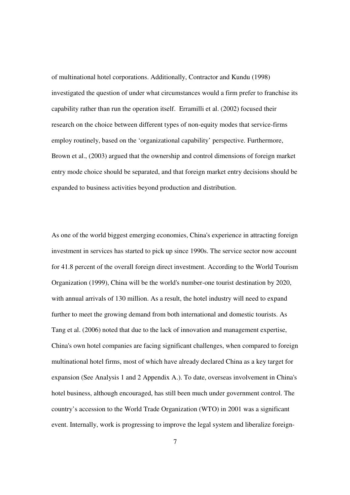of multinational hotel corporations. Additionally, Contractor and Kundu (1998) investigated the question of under what circumstances would a firm prefer to franchise its capability rather than run the operation itself. Erramilli et al. (2002) focused their research on the choice between different types of non-equity modes that service-firms employ routinely, based on the 'organizational capability' perspective. Furthermore, Brown et al., (2003) argued that the ownership and control dimensions of foreign market entry mode choice should be separated, and that foreign market entry decisions should be expanded to business activities beyond production and distribution.

As one of the world biggest emerging economies, China's experience in attracting foreign investment in services has started to pick up since 1990s. The service sector now account for 41.8 percent of the overall foreign direct investment. According to the World Tourism Organization (1999), China will be the world's number-one tourist destination by 2020, with annual arrivals of 130 million. As a result, the hotel industry will need to expand further to meet the growing demand from both international and domestic tourists. As Tang et al. (2006) noted that due to the lack of innovation and management expertise, China's own hotel companies are facing significant challenges, when compared to foreign multinational hotel firms, most of which have already declared China as a key target for expansion (See Analysis 1 and 2 Appendix A.). To date, overseas involvement in China's hotel business, although encouraged, has still been much under government control. The country's accession to the World Trade Organization (WTO) in 2001 was a significant event. Internally, work is progressing to improve the legal system and liberalize foreign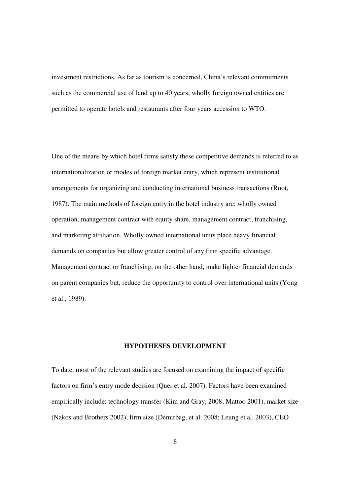investment restrictions. As far as tourism is concerned, China's relevant commitments such as the commercial use of land up to 40 years; wholly foreign owned entities are permitted to operate hotels and restaurants after four years accession to WTO.

One of the means by which hotel firms satisfy these competitive demands is referred to as internationalization or modes of foreign market entry, which represent institutional arrangements for organizing and conducting international business transactions (Root, 1987). The main methods of foreign entry in the hotel industry are: wholly owned operation, management contract with equity share, management contract, franchising, and marketing affiliation. Wholly owned international units place heavy financial demands on companies but allow greater control of any firm specific advantage. Management contract or franchising, on the other hand, make lighter financial demands on parent companies but, reduce the opportunity to control over international units (Yong et al., 1989).

#### **HYPOTHESES DEVELOPMENT**

To date, most of the relevant studies are focused on examining the impact of specific factors on firm's entry mode decision (Quer et al. 2007). Factors have been examined empirically include: technology transfer (Kim and Gray, 2008; Mattoo 2001), market size (Nakos and Brothers 2002), firm size (Demirbag, et al. 2008; Leung et al. 2003), CEO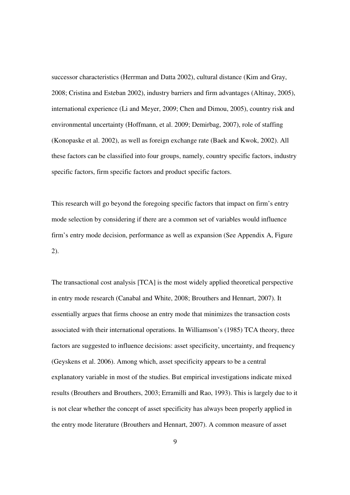successor characteristics (Herrman and Datta 2002), cultural distance (Kim and Gray, 2008; Cristina and Esteban 2002), industry barriers and firm advantages (Altinay, 2005), international experience (Li and Meyer, 2009; Chen and Dimou, 2005), country risk and environmental uncertainty (Hoffmann, et al. 2009; Demirbag, 2007), role of staffing (Konopaske et al. 2002), as well as foreign exchange rate (Baek and Kwok, 2002). All these factors can be classified into four groups, namely, country specific factors, industry specific factors, firm specific factors and product specific factors.

This research will go beyond the foregoing specific factors that impact on firm's entry mode selection by considering if there are a common set of variables would influence firm's entry mode decision, performance as well as expansion (See Appendix A, Figure 2).

The transactional cost analysis [TCA] is the most widely applied theoretical perspective in entry mode research (Canabal and White, 2008; Brouthers and Hennart, 2007). It essentially argues that firms choose an entry mode that minimizes the transaction costs associated with their international operations. In Williamson's (1985) TCA theory, three factors are suggested to influence decisions: asset specificity, uncertainty, and frequency (Geyskens et al. 2006). Among which, asset specificity appears to be a central explanatory variable in most of the studies. But empirical investigations indicate mixed results (Brouthers and Brouthers, 2003; Erramilli and Rao, 1993). This is largely due to it is not clear whether the concept of asset specificity has always been properly applied in the entry mode literature (Brouthers and Hennart, 2007). A common measure of asset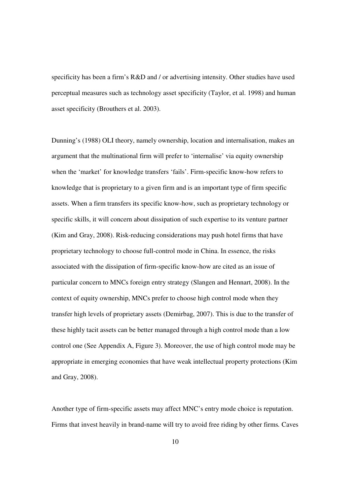specificity has been a firm's R&D and / or advertising intensity. Other studies have used perceptual measures such as technology asset specificity (Taylor, et al. 1998) and human asset specificity (Brouthers et al. 2003).

Dunning's (1988) OLI theory, namely ownership, location and internalisation, makes an argument that the multinational firm will prefer to 'internalise' via equity ownership when the 'market' for knowledge transfers 'fails'. Firm-specific know-how refers to knowledge that is proprietary to a given firm and is an important type of firm specific assets. When a firm transfers its specific know-how, such as proprietary technology or specific skills, it will concern about dissipation of such expertise to its venture partner (Kim and Gray, 2008). Risk-reducing considerations may push hotel firms that have proprietary technology to choose full-control mode in China. In essence, the risks associated with the dissipation of firm-specific know-how are cited as an issue of particular concern to MNCs foreign entry strategy (Slangen and Hennart, 2008). In the context of equity ownership, MNCs prefer to choose high control mode when they transfer high levels of proprietary assets (Demirbag, 2007). This is due to the transfer of these highly tacit assets can be better managed through a high control mode than a low control one (See Appendix A, Figure 3). Moreover, the use of high control mode may be appropriate in emerging economies that have weak intellectual property protections (Kim and Gray, 2008).

Another type of firm-specific assets may affect MNC's entry mode choice is reputation. Firms that invest heavily in brand-name will try to avoid free riding by other firms*.* Caves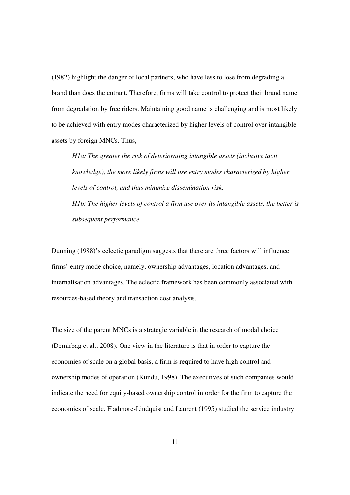(1982) highlight the danger of local partners, who have less to lose from degrading a brand than does the entrant. Therefore, firms will take control to protect their brand name from degradation by free riders. Maintaining good name is challenging and is most likely to be achieved with entry modes characterized by higher levels of control over intangible assets by foreign MNCs. Thus,

*H1a: The greater the risk of deteriorating intangible assets (inclusive tacit knowledge), the more likely firms will use entry modes characterized by higher levels of control, and thus minimize dissemination risk. H1b: The higher levels of control a firm use over its intangible assets, the better is subsequent performance.*

Dunning (1988)'s eclectic paradigm suggests that there are three factors will influence firms' entry mode choice, namely, ownership advantages, location advantages, and internalisation advantages. The eclectic framework has been commonly associated with resources-based theory and transaction cost analysis.

The size of the parent MNCs is a strategic variable in the research of modal choice (Demirbag et al., 2008). One view in the literature is that in order to capture the economies of scale on a global basis, a firm is required to have high control and ownership modes of operation (Kundu, 1998). The executives of such companies would indicate the need for equity-based ownership control in order for the firm to capture the economies of scale. Fladmore-Lindquist and Laurent (1995) studied the service industry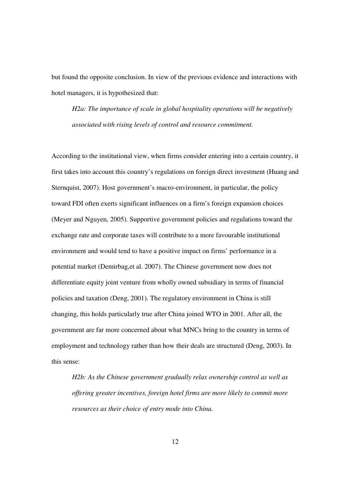but found the opposite conclusion. In view of the previous evidence and interactions with hotel managers, it is hypothesized that:

*H2a: The importance of scale in global hospitality operations will be negatively associated with rising levels of control and resource commitment.* 

According to the institutional view, when firms consider entering into a certain country, it first takes into account this country's regulations on foreign direct investment (Huang and Sternquist, 2007). Host government's macro-environment, in particular, the policy toward FDI often exerts significant influences on a firm's foreign expansion choices (Meyer and Nguyen, 2005). Supportive government policies and regulations toward the exchange rate and corporate taxes will contribute to a more favourable institutional environment and would tend to have a positive impact on firms' performance in a potential market (Demirbag,et al. 2007). The Chinese government now does not differentiate equity joint venture from wholly owned subsidiary in terms of financial policies and taxation (Deng, 2001). The regulatory environment in China is still changing, this holds particularly true after China joined WTO in 2001. After all, the government are far more concerned about what MNCs bring to the country in terms of employment and technology rather than how their deals are structured (Deng, 2003). In this sense:

*H2b: As the Chinese government gradually relax ownership control as well as offering greater incentives, foreign hotel firms are more likely to commit more resources as their choice of entry mode into China.*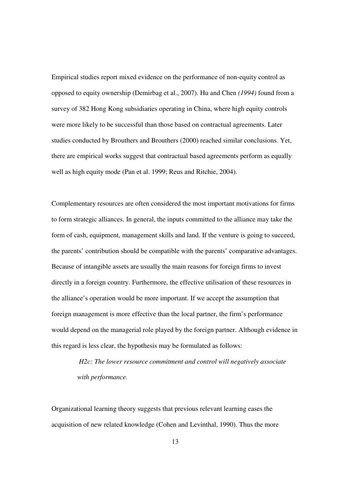Empirical studies report mixed evidence on the performance of non-equity control as opposed to equity ownership (Demirbag et al., 2007). Hu and Chen *(1994)* found from a survey of 382 Hong Kong subsidiaries operating in China, where high equity controls were more likely to be successful than those based on contractual agreements. Later studies conducted by Brouthers and Brouthers (2000) reached similar conclusions. Yet, there are empirical works suggest that contractual based agreements perform as equally well as high equity mode (Pan et al. 1999; Reus and Ritchie, 2004).

Complementary resources are often considered the most important motivations for firms to form strategic alliances. In general, the inputs committed to the alliance may take the form of cash, equipment, management skills and land. If the venture is going to succeed, the parents' contribution should be compatible with the parents' comparative advantages. Because of intangible assets are usually the main reasons for foreign firms to invest directly in a foreign country. Furthermore, the effective utilisation of these resources in the alliance's operation would be more important. If we accept the assumption that foreign management is more effective than the local partner, the firm's performance would depend on the managerial role played by the foreign partner. Although evidence in this regard is less clear, the hypothesis may be formulated as follows:

> *H2c: The lower resource commitment and control will negatively associate with performance.*

Organizational learning theory suggests that previous relevant learning eases the acquisition of new related knowledge (Cohen and Levinthal, 1990). Thus the more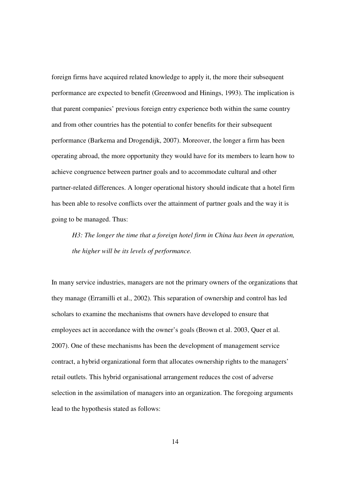foreign firms have acquired related knowledge to apply it, the more their subsequent performance are expected to benefit (Greenwood and Hinings, 1993). The implication is that parent companies' previous foreign entry experience both within the same country and from other countries has the potential to confer benefits for their subsequent performance (Barkema and Drogendijk, 2007). Moreover, the longer a firm has been operating abroad, the more opportunity they would have for its members to learn how to achieve congruence between partner goals and to accommodate cultural and other partner-related differences. A longer operational history should indicate that a hotel firm has been able to resolve conflicts over the attainment of partner goals and the way it is going to be managed. Thus:

*H3: The longer the time that a foreign hotel firm in China has been in operation, the higher will be its levels of performance.*

In many service industries, managers are not the primary owners of the organizations that they manage (Erramilli et al., 2002). This separation of ownership and control has led scholars to examine the mechanisms that owners have developed to ensure that employees act in accordance with the owner's goals (Brown et al. 2003, Quer et al. 2007). One of these mechanisms has been the development of management service contract, a hybrid organizational form that allocates ownership rights to the managers' retail outlets. This hybrid organisational arrangement reduces the cost of adverse selection in the assimilation of managers into an organization. The foregoing arguments lead to the hypothesis stated as follows: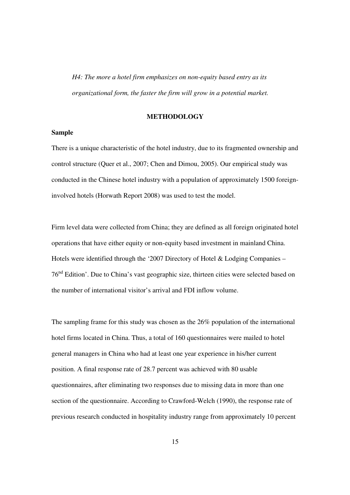*H4: The more a hotel firm emphasizes on non-equity based entry as its organizational form, the faster the firm will grow in a potential market.*

#### **METHODOLOGY**

# **Sample**

There is a unique characteristic of the hotel industry, due to its fragmented ownership and control structure (Quer et al., 2007; Chen and Dimou, 2005). Our empirical study was conducted in the Chinese hotel industry with a population of approximately 1500 foreigninvolved hotels (Horwath Report 2008) was used to test the model.

Firm level data were collected from China; they are defined as all foreign originated hotel operations that have either equity or non-equity based investment in mainland China. Hotels were identified through the '2007 Directory of Hotel & Lodging Companies – 76nd Edition'. Due to China's vast geographic size, thirteen cities were selected based on the number of international visitor's arrival and FDI inflow volume.

The sampling frame for this study was chosen as the 26% population of the international hotel firms located in China. Thus, a total of 160 questionnaires were mailed to hotel general managers in China who had at least one year experience in his/her current position. A final response rate of 28.7 percent was achieved with 80 usable questionnaires, after eliminating two responses due to missing data in more than one section of the questionnaire. According to Crawford-Welch (1990), the response rate of previous research conducted in hospitality industry range from approximately 10 percent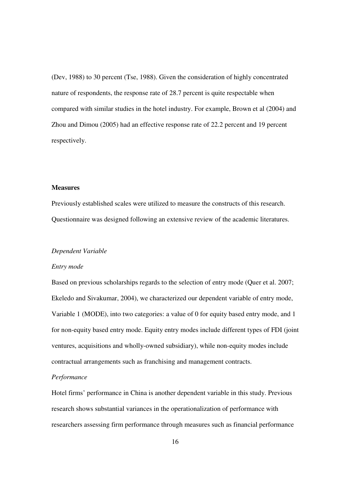(Dev, 1988) to 30 percent (Tse, 1988). Given the consideration of highly concentrated nature of respondents, the response rate of 28.7 percent is quite respectable when compared with similar studies in the hotel industry. For example, Brown et al (2004) and Zhou and Dimou (2005) had an effective response rate of 22.2 percent and 19 percent respectively.

# **Measures**

Previously established scales were utilized to measure the constructs of this research. Questionnaire was designed following an extensive review of the academic literatures.

#### *Dependent Variable*

#### *Entry mode*

Based on previous scholarships regards to the selection of entry mode (Quer et al. 2007; Ekeledo and Sivakumar, 2004), we characterized our dependent variable of entry mode, Variable 1 (MODE), into two categories: a value of 0 for equity based entry mode, and 1 for non-equity based entry mode. Equity entry modes include different types of FDI (joint ventures, acquisitions and wholly-owned subsidiary), while non-equity modes include contractual arrangements such as franchising and management contracts.

# *Performance*

Hotel firms' performance in China is another dependent variable in this study. Previous research shows substantial variances in the operationalization of performance with researchers assessing firm performance through measures such as financial performance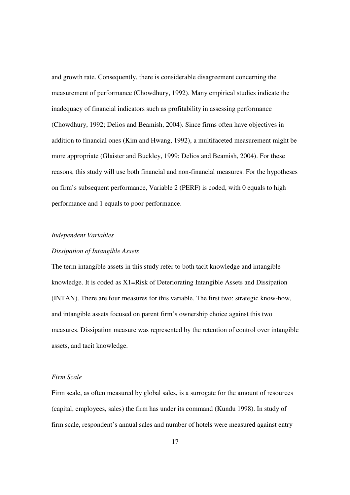and growth rate. Consequently, there is considerable disagreement concerning the measurement of performance (Chowdhury, 1992). Many empirical studies indicate the inadequacy of financial indicators such as profitability in assessing performance (Chowdhury, 1992; Delios and Beamish, 2004). Since firms often have objectives in addition to financial ones (Kim and Hwang, 1992), a multifaceted measurement might be more appropriate (Glaister and Buckley, 1999; Delios and Beamish, 2004). For these reasons, this study will use both financial and non-financial measures. For the hypotheses on firm's subsequent performance, Variable 2 (PERF) is coded, with 0 equals to high performance and 1 equals to poor performance.

#### *Independent Variables*

# *Dissipation of Intangible Assets*

The term intangible assets in this study refer to both tacit knowledge and intangible knowledge. It is coded as X1=Risk of Deteriorating Intangible Assets and Dissipation (INTAN). There are four measures for this variable. The first two: strategic know-how, and intangible assets focused on parent firm's ownership choice against this two measures. Dissipation measure was represented by the retention of control over intangible assets, and tacit knowledge.

# *Firm Scale*

Firm scale, as often measured by global sales, is a surrogate for the amount of resources (capital, employees, sales) the firm has under its command (Kundu 1998). In study of firm scale, respondent's annual sales and number of hotels were measured against entry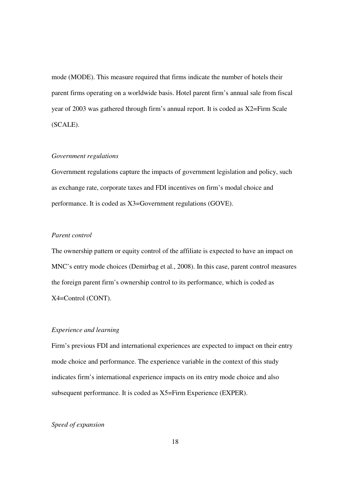mode (MODE). This measure required that firms indicate the number of hotels their parent firms operating on a worldwide basis. Hotel parent firm's annual sale from fiscal year of 2003 was gathered through firm's annual report. It is coded as X2=Firm Scale (SCALE).

# *Government regulations*

Government regulations capture the impacts of government legislation and policy, such as exchange rate, corporate taxes and FDI incentives on firm's modal choice and performance. It is coded as X3=Government regulations (GOVE).

# *Parent control*

The ownership pattern or equity control of the affiliate is expected to have an impact on MNC's entry mode choices (Demirbag et al., 2008). In this case, parent control measures the foreign parent firm's ownership control to its performance, which is coded as X4=Control (CONT).

#### *Experience and learning*

Firm's previous FDI and international experiences are expected to impact on their entry mode choice and performance. The experience variable in the context of this study indicates firm's international experience impacts on its entry mode choice and also subsequent performance. It is coded as X5=Firm Experience (EXPER).

# *Speed of expansion*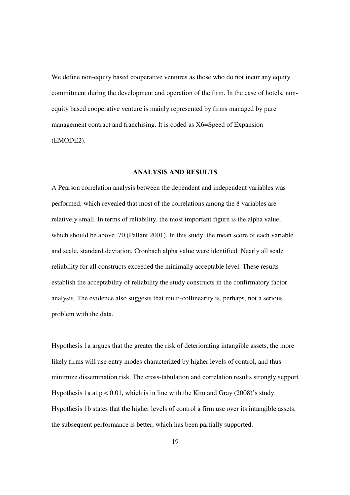We define non-equity based cooperative ventures as those who do not incur any equity commitment during the development and operation of the firm. In the case of hotels, nonequity based cooperative venture is mainly represented by firms managed by pure management contract and franchising. It is coded as X6=Speed of Expansion (EMODE2).

#### **ANALYSIS AND RESULTS**

A Pearson correlation analysis between the dependent and independent variables was performed, which revealed that most of the correlations among the 8 variables are relatively small. In terms of reliability, the most important figure is the alpha value, which should be above .70 (Pallant 2001). In this study, the mean score of each variable and scale, standard deviation, Cronbach alpha value were identified. Nearly all scale reliability for all constructs exceeded the minimally acceptable level. These results establish the acceptability of reliability the study constructs in the confirmatory factor analysis. The evidence also suggests that multi-collinearity is, perhaps, not a serious problem with the data.

Hypothesis 1a argues that the greater the risk of deteriorating intangible assets, the more likely firms will use entry modes characterized by higher levels of control, and thus minimize dissemination risk. The cross-tabulation and correlation results strongly support Hypothesis 1a at  $p < 0.01$ , which is in line with the Kim and Gray (2008)'s study. Hypothesis 1b states that the higher levels of control a firm use over its intangible assets, the subsequent performance is better, which has been partially supported.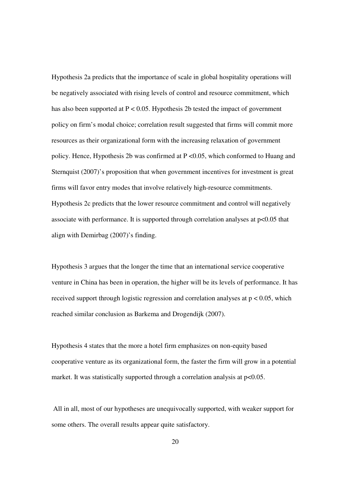Hypothesis 2a predicts that the importance of scale in global hospitality operations will be negatively associated with rising levels of control and resource commitment, which has also been supported at  $P < 0.05$ . Hypothesis 2b tested the impact of government policy on firm's modal choice; correlation result suggested that firms will commit more resources as their organizational form with the increasing relaxation of government policy. Hence, Hypothesis 2b was confirmed at P <0.05, which conformed to Huang and Sternquist (2007)'s proposition that when government incentives for investment is great firms will favor entry modes that involve relatively high-resource commitments. Hypothesis 2c predicts that the lower resource commitment and control will negatively associate with performance. It is supported through correlation analyses at p<0.05 that align with Demirbag (2007)'s finding.

Hypothesis 3 argues that the longer the time that an international service cooperative venture in China has been in operation, the higher will be its levels of performance. It has received support through logistic regression and correlation analyses at p < 0.05, which reached similar conclusion as Barkema and Drogendijk (2007).

Hypothesis 4 states that the more a hotel firm emphasizes on non-equity based cooperative venture as its organizational form, the faster the firm will grow in a potential market. It was statistically supported through a correlation analysis at  $p<0.05$ .

 All in all, most of our hypotheses are unequivocally supported, with weaker support for some others. The overall results appear quite satisfactory.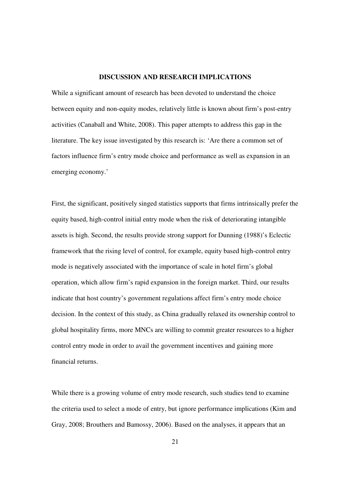#### **DISCUSSION AND RESEARCH IMPLICATIONS**

While a significant amount of research has been devoted to understand the choice between equity and non-equity modes, relatively little is known about firm's post-entry activities (Canaball and White, 2008). This paper attempts to address this gap in the literature. The key issue investigated by this research is: 'Are there a common set of factors influence firm's entry mode choice and performance as well as expansion in an emerging economy.'

First, the significant, positively singed statistics supports that firms intrinsically prefer the equity based, high-control initial entry mode when the risk of deteriorating intangible assets is high. Second, the results provide strong support for Dunning (1988)'s Eclectic framework that the rising level of control, for example, equity based high-control entry mode is negatively associated with the importance of scale in hotel firm's global operation, which allow firm's rapid expansion in the foreign market. Third, our results indicate that host country's government regulations affect firm's entry mode choice decision. In the context of this study, as China gradually relaxed its ownership control to global hospitality firms, more MNCs are willing to commit greater resources to a higher control entry mode in order to avail the government incentives and gaining more financial returns.

While there is a growing volume of entry mode research, such studies tend to examine the criteria used to select a mode of entry, but ignore performance implications (Kim and Gray, 2008; Brouthers and Bamossy, 2006). Based on the analyses, it appears that an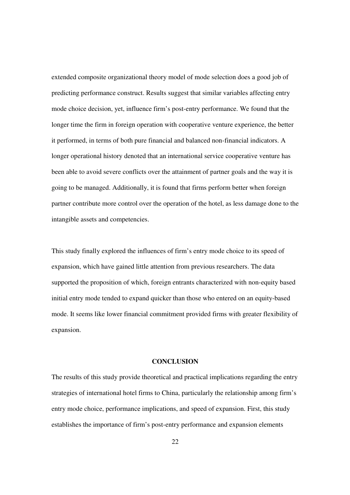extended composite organizational theory model of mode selection does a good job of predicting performance construct. Results suggest that similar variables affecting entry mode choice decision, yet, influence firm's post-entry performance. We found that the longer time the firm in foreign operation with cooperative venture experience, the better it performed, in terms of both pure financial and balanced non-financial indicators. A longer operational history denoted that an international service cooperative venture has been able to avoid severe conflicts over the attainment of partner goals and the way it is going to be managed. Additionally, it is found that firms perform better when foreign partner contribute more control over the operation of the hotel, as less damage done to the intangible assets and competencies.

This study finally explored the influences of firm's entry mode choice to its speed of expansion, which have gained little attention from previous researchers. The data supported the proposition of which, foreign entrants characterized with non-equity based initial entry mode tended to expand quicker than those who entered on an equity-based mode. It seems like lower financial commitment provided firms with greater flexibility of expansion.

#### **CONCLUSION**

The results of this study provide theoretical and practical implications regarding the entry strategies of international hotel firms to China, particularly the relationship among firm's entry mode choice, performance implications, and speed of expansion. First, this study establishes the importance of firm's post-entry performance and expansion elements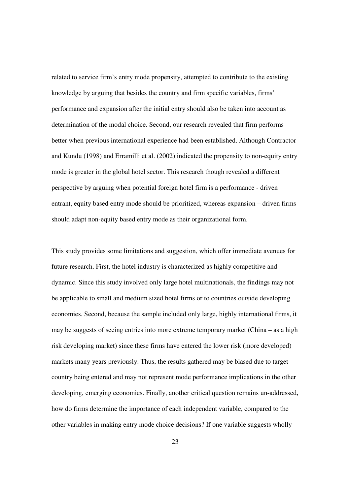related to service firm's entry mode propensity, attempted to contribute to the existing knowledge by arguing that besides the country and firm specific variables, firms' performance and expansion after the initial entry should also be taken into account as determination of the modal choice. Second, our research revealed that firm performs better when previous international experience had been established. Although Contractor and Kundu (1998) and Erramilli et al. (2002) indicated the propensity to non-equity entry mode is greater in the global hotel sector. This research though revealed a different perspective by arguing when potential foreign hotel firm is a performance - driven entrant, equity based entry mode should be prioritized, whereas expansion – driven firms should adapt non-equity based entry mode as their organizational form.

This study provides some limitations and suggestion, which offer immediate avenues for future research. First, the hotel industry is characterized as highly competitive and dynamic. Since this study involved only large hotel multinationals, the findings may not be applicable to small and medium sized hotel firms or to countries outside developing economies. Second, because the sample included only large, highly international firms, it may be suggests of seeing entries into more extreme temporary market (China – as a high risk developing market) since these firms have entered the lower risk (more developed) markets many years previously. Thus, the results gathered may be biased due to target country being entered and may not represent mode performance implications in the other developing, emerging economies. Finally, another critical question remains un-addressed, how do firms determine the importance of each independent variable, compared to the other variables in making entry mode choice decisions? If one variable suggests wholly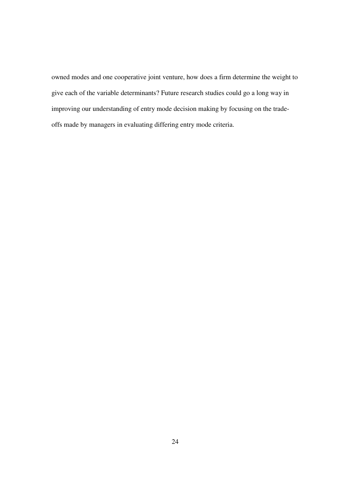owned modes and one cooperative joint venture, how does a firm determine the weight to give each of the variable determinants? Future research studies could go a long way in improving our understanding of entry mode decision making by focusing on the tradeoffs made by managers in evaluating differing entry mode criteria.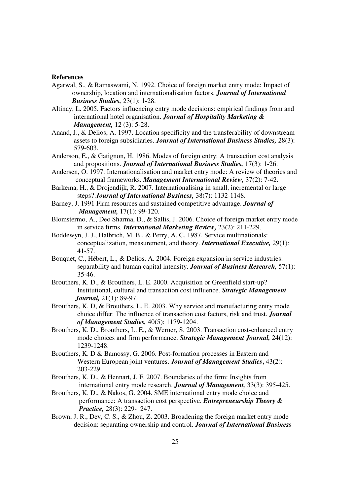#### **References**

- Agarwal, S., & Ramaswami, N. 1992. Choice of foreign market entry mode: Impact of ownership, location and internationalisation factors. *Journal of International Business Studies,* 23(1): 1-28.
- Altinay, L. 2005. Factors influencing entry mode decisions: empirical findings from and international hotel organisation. *Journal of Hospitality Marketing & Management,* 12 (3): 5-28.
- Anand, J., & Delios, A. 1997. Location specificity and the transferability of downstream assets to foreign subsidiaries. *Journal of International Business Studies,* 28(3): 579-603.
- Anderson, E., & Gatignon, H. 1986. Modes of foreign entry: A transaction cost analysis and propositions. *Journal of International Business Studies,* 17(3): 1-26.
- Andersen, O. 1997. Internationalisation and market entry mode: A review of theories and conceptual frameworks. *Management International Review,* 37(2): 7-42.
- Barkema, H., & Drojendijk, R. 2007. Internationalising in small, incremental or large steps? *Journal of International Business,* 38(7): 1132-1148.
- Barney, J. 1991 Firm resources and sustained competitive advantage. *Journal of Management,* 17(1): 99-120.
- Blomstermo, A., Deo Sharma, D., & Sallis, J. 2006. Choice of foreign market entry mode in service firms. *International Marketing Review,* 23(2): 211-229.
- Boddewyn, J. J., Halbrich, M. B., & Perry, A. C. 1987. Service multinationals: conceptualization, measurement, and theory. *International Executive,* 29(1): 41-57.
- Bouquet, C., Hébert, L., & Delios, A. 2004. Foreign expansion in service industries: separability and human capital intensity. *Journal of Business Research,* 57(1): 35-46.
- Brouthers, K. D., & Brouthers, L. E. 2000. Acquisition or Greenfield start-up? Institutional, cultural and transaction cost influence. *Strategic Management Journal,* 21(1): 89-97.
- Brouthers, K. D, & Brouthers, L. E. 2003. Why service and manufacturing entry mode choice differ: The influence of transaction cost factors, risk and trust. *Journal of Management Studies,* 40(5): 1179-1204.
- Brouthers, K. D., Brouthers, L. E., & Werner, S. 2003. Transaction cost-enhanced entry mode choices and firm performance. *Strategic Management Journal,* 24(12): 1239-1248.
- Brouthers, K. D & Bamossy, G. 2006. Post-formation processes in Eastern and Western European joint ventures. *Journal of Management Studies***,** 43(2): 203-229.
- Brouthers, K. D., & Hennart, J. F. 2007. Boundaries of the firm: Insights from international entry mode research. *Journal of Management,* 33(3): 395-425.
- Brouthers, K. D., & Nakos, G. 2004. SME international entry mode choice and performance: A transaction cost perspective. *Entrepreneurship Theory & Practice,* 28(3): 229- 247.
- Brown, J. R., Dev, C. S., & Zhou, Z. 2003. Broadening the foreign market entry mode decision: separating ownership and control. *Journal of International Business*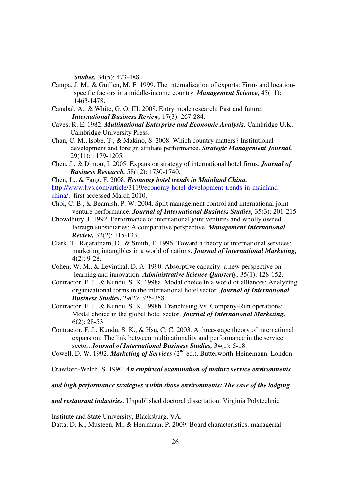*Studies,* 34(5): 473-488.

- Campa, J. M., & Guillen, M. F. 1999. The internalization of exports: Firm- and location specific factors in a middle-income country. *Management Science,* 45(11): 1463-1478.
- Canabal, A., & White, G. O. III. 2008. Entry mode research: Past and future. *International Business Review,* 17(3): 267-284.
- Caves, R. E. 1982. *Multinational Enterprise and Economic Analysis.* Cambridge U.K.: Cambridge University Press.
- Chan, C. M., Isobe, T., & Makino, S. 2008. Which country matters? Institutional development and foreign affiliate performance. *Strategic Management Journal,* 29(11): 1179-1205.
- Chen, J., & Dimou, I. 2005. Expansion strategy of international hotel firms. *Journal of Business Research,* 58(12): 1730-1740.

Chen, L., & Fang, F. 2008. *Economy hotel trends in Mainland China.* http://www.hvs.com/article/3119/economy-hotel-development-trends-in-mainlandchina/, first accessed March 2010.

- Choi, C. B., & Beamish, P. W. 2004. Split management control and international joint venture performance. *Journal of International Business Studies,* 35(3): 201-215.
- Chowdhury, J. 1992. Performance of international joint ventures and wholly owned Foreign subsidiaries: A comparative perspective. *Management International Review,* 32(2): 115-133.
- Clark, T., Rajaratnam, D., & Smith, T. 1996. Toward a theory of international services: marketing intangibles in a world of nations. *Journal of International Marketing,* 4(2): 9-28.
- Cohen, W. M., & Levinthal, D. A. 1990. Absorptive capacity: a new perspective on learning and innovation. *Administrative Science Quarterly,* 35(1): 128-152.
- Contractor, F. J., & Kundu, S. K. 1998a. Modal choice in a world of alliances: Analyzing organizational forms in the international hotel sector. *Journal of International Business Studies***,** 29(2): 325-358.
- Contractor, F. J., & Kundu, S. K. 1998b. Franchising Vs. Company-Run operations: Modal choice in the global hotel sector. *Journal of International Marketing,* 6(2): 28-53.
- Contractor, F. J., Kundu, S. K., & Hsu, C. C. 2003. A three-stage theory of international expansion: The link between multinationality and performance in the service sector. *Journal of International Business Studies,* 34(1): 5-18.
- Cowell, D. W. 1992. *Marketing of Services* (2<sup>nd</sup> ed.). Butterworth-Heinemann. London.

Crawford-Welch, S. 1990. *An empirical examination of mature service environments* 

#### *and high performance strategies within those environments: The case of the lodging*

*and restaurant industries.* Unpublished doctoral dissertation, Virginia Polytechnic

Institute and State University, Blacksburg, VA. Datta, D. K., Musteen, M., & Herrmann, P. 2009. Board characteristics, managerial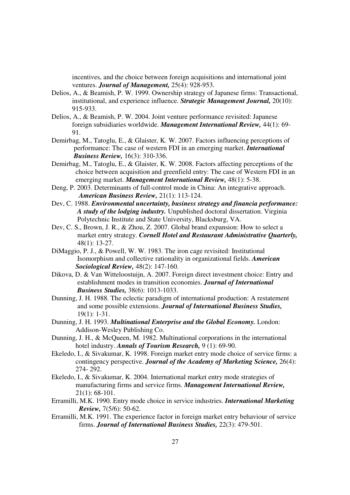incentives, and the choice between foreign acquisitions and international joint ventures. *Journal of Management,* 25(4): 928-953.

- Delios, A., & Beamish, P. W. 1999. Ownership strategy of Japanese firms: Transactional, institutional, and experience influence. *Strategic Management Journal,* 20(10): 915-933.
- Delios, A., & Beamish, P. W. 2004. Joint venture performance revisited: Japanese foreign subsidiaries worldwide. *Management International Review,* 44(1): 69- 91.
- Demirbag, M., Tatoglu, E., & Glaister, K. W. 2007. Factors influencing perceptions of performance: The case of western FDI in an emerging market. *International Business Review,* 16(3): 310-336.
- Demirbag, M., Tatoglu, E., & Glaister, K. W. 2008. Factors affecting perceptions of the choice between acquisition and greenfield entry: The case of Western FDI in an emerging market. *Management International Review,* 48(1): 5-38.
- Deng, P. 2003. Determinants of full-control mode in China: An integrative approach. *American Business Review,* 21(1): 113-124.
- Dev, C. 1988. *Environmental uncertainty, business strategy and financia performance: A study of the lodging industry.* Unpublished doctoral dissertation. Virginia Polytechnic Institute and State University, Blacksburg, VA.
- Dev, C. S., Brown, J. R., & Zhou, Z. 2007. Global brand expansion: How to select a market entry strategy. *Cornell Hotel and Restaurant Administrative Quarterly,* 48(1): 13-27.
- DiMaggio, P. J., & Powell, W. W. 1983. The iron cage revisited: Institutional Isomorphism and collective rationality in organizational fields. *American Sociological Review,* 48(2): 147-160.
- Dikova, D. & Van Witteloostuijn, A. 2007. Foreign direct investment choice: Entry and establishment modes in transition economies. *Journal of International Business Studies,* 38(6): 1013-1033.
- Dunning, J. H. 1988. The eclectic paradigm of international production: A restatement and some possible extensions. *Journal of International Business Studies,* 19(1): 1-31.
- Dunning, J. H. 1993. *Multinational Enterprise and the Global Economy.* London: Addison-Wesley Publishing Co.
- Dunning, J. H., & McQueen, M. 1982. Multinational corporations in the international hotel industry. *Annals of Tourism Research,* 9 (1): 69-90.
- Ekeledo, I., & Sivakumar, K. 1998. Foreign market entry mode choice of service firms: a contingency perspective. *Journal of the Academy of Marketing Science,* 26(4): 274- 292.
- Ekeledo, I., & Sivakumar, K. 2004. International market entry mode strategies of manufacturing firms and service firms. *Management International Review,* 21(1): 68-101.
- Erramilli, M.K. 1990. Entry mode choice in service industries. *International Marketing Review,* 7(5/6): 50-62.
- Erramilli, M.K. 1991. The experience factor in foreign market entry behaviour of service firms. *Journal of International Business Studies,* 22(3): 479-501.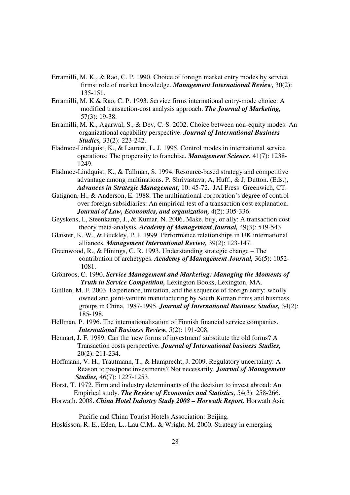- Erramilli, M. K., & Rao, C. P. 1990. Choice of foreign market entry modes by service firms: role of market knowledge. *Management International Review,* 30(2): 135-151.
- Erramilli, M. K & Rao, C. P. 1993. Service firms international entry-mode choice: A modified transaction-cost analysis approach. *The Journal of Marketing,* 57(3): 19-38.
- Erramilli, M. K., Agarwal, S., & Dev, C. S. 2002. Choice between non-equity modes: An organizational capability perspective. *Journal of International Business Studies,* 33(2): 223-242.
- Fladmoe-Lindquist, K., & Laurent, L. J. 1995. Control modes in international service operations: The propensity to franchise. *Management Science.* 41(7): 1238- 1249.
- Fladmoe-Lindquist, K., & Tallman, S. 1994. Resource-based strategy and competitive advantage among multinations. P. Shrivastava, A, Huff., & J, Dutton. (Eds.), *Advances in Strategic Management,* 10: 45-72. JAI Press: Greenwich, CT.
- Gatignon, H., & Anderson, E. 1988. The multinational corporation's degree of control over foreign subsidiaries: An empirical test of a transaction cost explanation. *Journal of Law, Economics, and organization,* 4(2): 305-336.
- Geyskens, I., Steenkamp, J., & Kumar, N. 2006. Make, buy, or ally: A transaction cost theory meta-analysis. *Academy of Management Journal,* 49(3): 519-543.
- Glaister, K. W., & Buckley, P. J. 1999. Performance relationships in UK international alliances. *Management International Review,* 39(2): 123-147.
- Greenwood, R., & Hinings, C. R. 1993. Understanding strategic change The contribution of archetypes. *Academy of Management Journal,* 36(5): 1052- 1081.
- Grönroos, C. 1990. *Service Management and Marketing: Managing the Moments of Truth in Service Competition,* Lexington Books, Lexington, MA.
- Guillen, M. F. 2003. Experience, imitation, and the sequence of foreign entry: wholly owned and joint-venture manufacturing by South Korean firms and business groups in China, 1987-1995. *Journal of International Business Studies,* 34(2): 185-198.
- Hellman, P. 1996. The internationalization of Finnish financial service companies. *International Business Review,* 5(2): 191-208.
- Hennart, J. F. 1989. Can the 'new forms of investment' substitute the old forms? A Transaction costs perspective. *Journal of International business Studies,* 20(2): 211-234.
- Hoffmann, V. H., Trautmann, T., & Hamprecht, J. 2009. Regulatory uncertainty: A Reason to postpone investments? Not necessarily. *Journal of Management Studies,* 46(7): 1227-1253.
- Horst, T. 1972. Firm and industry determinants of the decision to invest abroad: An Empirical study. *The Review of Economics and Statistics,* 54(3): 258-266.
- Horwath. 2008. *China Hotel Industry Study 2008 Horwath Report.* Horwath Asia

Pacific and China Tourist Hotels Association: Beijing.

Hoskisson, R. E., Eden, L., Lau C.M., & Wright, M. 2000. Strategy in emerging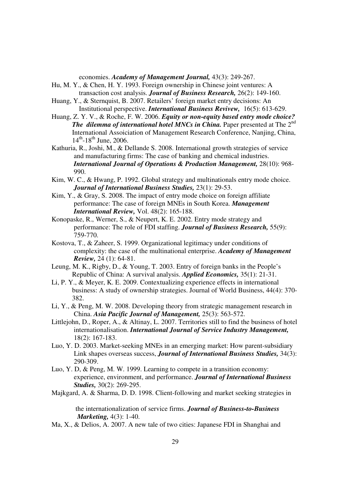economies. *Academy of Management Journal,* 43(3): 249-267.

- Hu, M. Y., & Chen, H. Y. 1993. Foreign ownership in Chinese joint ventures: A transaction cost analysis. *Journal of Business Research,* 26(2): 149-160.
- Huang, Y., & Sternquist, B. 2007. Retailers' foreign market entry decisions: An Institutional perspective. *International Business Revivew,* 16(5): 613-629.
- Huang, Z. Y. V., & Roche, F. W. 2006. *Equity or non-equity based entry mode choice? The dilemma of international hotel MNCs in China.* Paper presented at The 2<sup>nd</sup> International Assoiciation of Management Research Conference, Nanjing, China,  $14^{th}$ -18<sup>th</sup> June, 2006.
- Kathuria, R., Joshi, M., & Dellande S. 2008. International growth strategies of service and manufacturing firms: The case of banking and chemical industries. *International Journal of Operations & Production Management,* 28(10): 968- 990.
- Kim, W. C., & Hwang, P. 1992. Global strategy and multinationals entry mode choice. *Journal of International Business Studies,* 23(1): 29-53.
- Kim, Y., & Gray, S. 2008. The impact of entry mode choice on foreign affiliate performance: The case of foreign MNEs in South Korea. *Management International Review,* Vol. 48(2): 165-188.
- Konopaske, R., Werner, S., & Neupert, K. E. 2002. Entry mode strategy and performance: The role of FDI staffing. *Journal of Business Research,* 55(9): 759-770.
- Kostova, T., & Zaheer, S. 1999. Organizational legitimacy under conditions of complexity: the case of the multinational enterprise. *Academy of Management Review,* 24 (1): 64-81.
- Leung, M. K., Rigby, D., & Young, T. 2003. Entry of foreign banks in the People's Republic of China: A survival analysis. *Applied Economics,* 35(1): 21-31.
- Li, P. Y., & Meyer, K. E. 2009. Contextualizing experience effects in international business: A study of ownership strategies. Journal of World Business, 44(4): 370- 382.
- Li, Y., & Peng, M. W. 2008. Developing theory from strategic management research in China. *Asia Pacific Journal of Management,* 25(3): 563-572.
- Littlejohn, D., Roper, A., & Altinay, L. 2007. Territories still to find the business of hotel internationalisation. *International Journal of Service Industry Management,*  18(2): 167-183.
- Luo, Y. D. 2003. Market-seeking MNEs in an emerging market: How parent-subsidiary Link shapes overseas success, *Journal of International Business Studies,* 34(3): 290-309.
- Luo, Y. D, & Peng, M. W. 1999. Learning to compete in a transition economy: experience, environment, and performance. *Journal of International Business Studies,* 30(2): 269-295.
- Majkgard, A. & Sharma, D. D. 1998. Client-following and market seeking strategies in

 the internationalization of service firms. *Journal of Business-to-Business Marketing,* 4(3): 1-40.

Ma, X., & Delios, A. 2007. A new tale of two cities: Japanese FDI in Shanghai and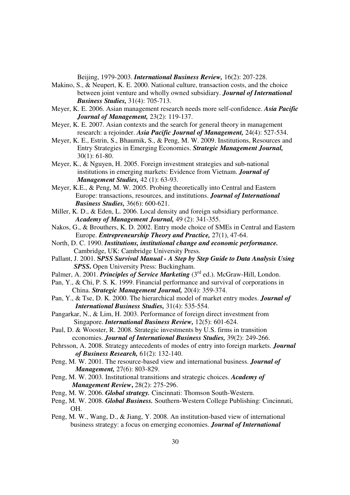Beijing, 1979-2003. *International Business Review,* 16(2): 207-228.

- Makino, S., & Neupert, K. E. 2000. National culture, transaction costs, and the choice between joint venture and wholly owned subsidiary. *Journal of International Business Studies,* 31(4): 705-713.
- Meyer, K. E. 2006. Asian management research needs more self-confidence. *Asia Pacific Journal of Management,* 23(2): 119-137.
- Meyer, K. E. 2007. Asian contexts and the search for general theory in management research: a rejoinder. *Asia Pacific Journal of Management,* 24(4): 527-534.
- Meyer, K. E., Estrin, S., Bhaumik, S., & Peng, M. W. 2009. Institutions, Resources and Entry Strategies in Emerging Economies. *Strategic Management Journal,* 30(1): 61-80.
- Meyer, K., & Nguyen, H. 2005. Foreign investment strategies and sub-national institutions in emerging markets: Evidence from Vietnam. *Journal of Management Studies,* 42 (1): 63-93.
- Meyer, K.E., & Peng, M. W. 2005. Probing theoretically into Central and Eastern Europe: transactions, resources, and institutions. *Journal of International Business Studies,* 36(6): 600-621.
- Miller, K. D., & Eden, L. 2006. Local density and foreign subsidiary performance. *Academy of Management Journal,* 49 (2): 341-355.
- Nakos, G., & Brouthers, K. D. 2002. Entry mode choice of SMEs in Central and Eastern Europe. *Entrepreneurship Theory and Practice,* 27(1), 47-64.
- North, D. C. 1990. *Institutions, institutional change and economic performance.*  Cambridge, UK: Cambridge University Press.
- Pallant, J. 2001. **S***PSS Survival Manual A Step by Step Guide to Data Analysis Using SPSS***.** Open University Press: Buckingham.
- Palmer, A. 2001. *Principles of Service Marketing* (3<sup>rd</sup> ed.). McGraw-Hill, London.
- Pan, Y., & Chi, P. S. K. 1999. Financial performance and survival of corporations in China. *Strategic Management Journal,* 20(4): 359-374.
- Pan, Y., & Tse, D. K. 2000. The hierarchical model of market entry modes. *Journal of International Business Studies,* 31(4): 535-554.
- Pangarkar, N., & Lim, H. 2003. Performance of foreign direct investment from Singapore. *International Business Review,* 12(5): 601-624.
- Paul, D. & Wooster, R. 2008. Strategic investments by U.S. firms in transition economies. *Journal of International Business Studies,* 39(2): 249-266.
- Pehrsson, A. 2008. Strategy antecedents of modes of entry into foreign markets. *Journal of Business Research,* 61(2): 132-140.
- Peng, M. W. 2001. The resource-based view and international business. *Journal of Management,* 27(6): 803-829.
- Peng, M. W. 2003. Institutional transitions and strategic choices. *Academy of Management Review***,** 28(2): 275-296.
- Peng, M. W. 2006. *Global strategy.* Cincinnati: Thomson South-Western.
- Peng, M. W. 2008. *Global Business.* Southern-Western College Publishing: Cincinnati, OH.
- Peng, M. W., Wang, D., & Jiang, Y. 2008. An institution-based view of international business strategy: a focus on emerging economies. *Journal of International*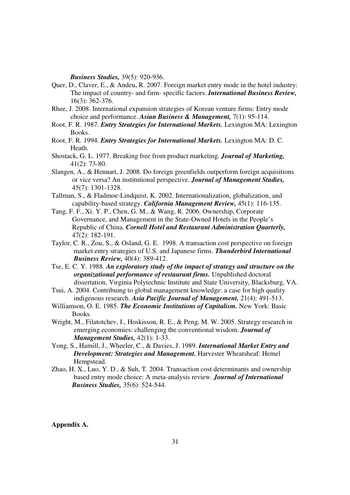*Business Studies,* 39(5): 920-936.

- Quer, D., Claver, E., & Andeu, R. 2007. Foreign market entry mode in the hotel industry: The impact of country- and firm- specific factors. *International Business Review,* 16(3): 362-376.
- Rhee, J. 2008. International expansion strategies of Korean venture firms: Entry mode choice and performance. *Asian Business & Management,* 7(1): 95-114.
- Root, F. R. 1987. *Entry Strategies for International Markets.* Lexington MA: Lexington Books.
- Root, F. R. 1994. *Entry Strategies for International Markets.* Lexington MA: D. C. Heath.
- Shostack, G. L. 1977. Breaking free from product marketing. *Journal of Marketing,* 41(2): 73-80.
- Slangen, A., & Hennart, J. 2008. Do foreign greenfields outperform foreign acquisitions or vice versa? An institutional perspective. *Journal of Management Studies,* 45(7): 1301-1328.
- Tallman, S., & Fladmoe-Lindquist, K. 2002. Internationalization, globalization, and capability-based strategy. *California Management Review,* 45(1): 116-135.
- Tang, F. F., Xi. Y. P., Chen, G. M., & Wang, R. 2006. Ownership, Corporate Governance, and Management in the State-Owned Hotels in the People's Republic of China. *Cornell Hotel and Restaurant Administration Quarterly,* 47(2): 182-191.
- Taylor, C. R., Zou, S., & Osland, G. E. 1998. A transaction cost perspective on foreign market entry strategies of U.S. and Japanese firms. *Thunderbird International Business Review,* 40(4): 389-412.
- Tse, E. C. Y. 1988. *An exploratory study of the impact of strategy and structure on the organizational performance of restaurant firms.* Unpublished doctoral dissertation, Virginia Polytechnic Institute and State University, Blacksburg, VA.
- Tsui, A. 2004. Contribuing to global management knowledge: a case for high quality indigenous research. *Asia Pacific Journal of Management,* 21(4): 491-513.
- Williamson, O. E. 1985. *The Economic Institutions of Capitalism.* New York: Basic Books.
- Wright, M., Filatotchev, I., Hoskisson, R. E., & Peng, M. W. 2005. Strategy research in emerging economies: challenging the conventional wisdom. *Journal of Management Studies,* 42(1): 1-33.
- Yong, S., Hamill, J., Wheeler, C., & Davies, J. 1989. *International Market Entry and Development: Strategies and Management.* Harvester Wheatsheaf: Hemel Hempstead.
- Zhao, H. X., Luo, Y. D., & Suh, T. 2004. Transaction cost determinants and ownership based entry mode choice: A meta-analysis review. *Journal of International Business Studies,* 35(6): 524-544.

**Appendix A.**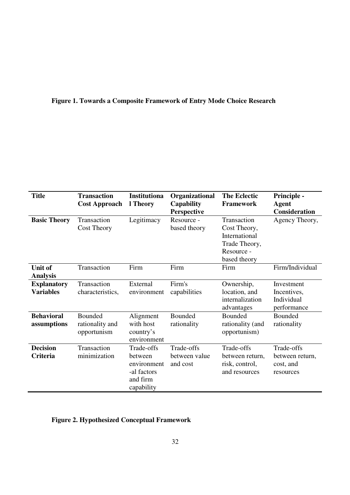# **Figure 1. Towards a Composite Framework of Entry Mode Choice Research**

| <b>Title</b><br><b>Transaction</b> |                      | Institutiona | Organizational    | <b>The Eclectic</b> | Principle -          |
|------------------------------------|----------------------|--------------|-------------------|---------------------|----------------------|
|                                    | <b>Cost Approach</b> | l Theory     | <b>Capability</b> | <b>Framework</b>    | <b>Agent</b>         |
|                                    |                      |              | Perspective       |                     | <b>Consideration</b> |
| <b>Basic Theory</b>                | Transaction          | Legitimacy   | Resource -        | Transaction         | Agency Theory,       |
|                                    | <b>Cost Theory</b>   |              | based theory      | Cost Theory,        |                      |
|                                    |                      |              |                   | International       |                      |
|                                    |                      |              |                   | Trade Theory,       |                      |
|                                    |                      |              |                   | Resource -          |                      |
|                                    |                      |              |                   | based theory        |                      |
| <b>Unit of</b>                     | Transaction          | Firm         | Firm              | Firm                | Firm/Individual      |
| <b>Analysis</b>                    |                      |              |                   |                     |                      |
| <b>Explanatory</b>                 | Transaction          | External     | Firm's            | Ownership,          | Investment           |
| <b>Variables</b>                   | characteristics,     | environment  | capabilities      | location, and       | Incentives,          |
|                                    |                      |              |                   | internalization     | Individual           |
|                                    |                      |              |                   | advantages          | performance          |
| <b>Behavioral</b>                  | Bounded              | Alignment    | Bounded           | Bounded             | <b>Bounded</b>       |
| assumptions                        | rationality and      | with host    | rationality       | rationality (and    | rationality          |
|                                    | opportunism          | country's    |                   | opportunism)        |                      |
|                                    |                      | environment  |                   |                     |                      |
| <b>Decision</b>                    | Transaction          | Trade-offs   | Trade-offs        | Trade-offs          | Trade-offs           |
| Criteria                           | minimization         | between      | between value     | between return,     | between return,      |
|                                    |                      | environment  | and cost          | risk, control,      | cost, and            |
|                                    |                      | -al factors  |                   | and resources       | resources            |
|                                    |                      | and firm     |                   |                     |                      |
|                                    |                      | capability   |                   |                     |                      |

# **Figure 2. Hypothesized Conceptual Framework**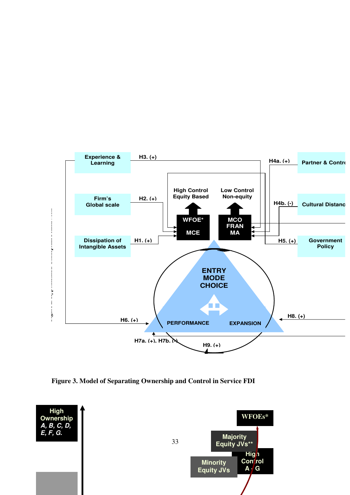

**Figure 3. Model of Separating Ownership and Control in Service FDI** 

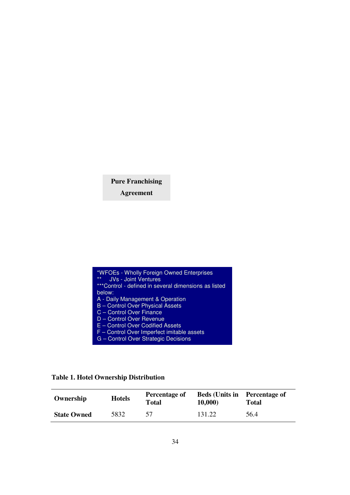# **Pure Franchising**

**Agreement** 

| *WFOEs - Wholly Foreign Owned Enterprises<br>$***$<br><b>JVs - Joint Ventures</b> |
|-----------------------------------------------------------------------------------|
| ***Control - defined in several dimensions as listed                              |
| below:                                                                            |
| A - Daily Management & Operation                                                  |
| <b>B</b> - Control Over Physical Assets                                           |
| C - Control Over Finance                                                          |
| D - Control Over Revenue                                                          |
| E - Control Over Codified Assets                                                  |
| F - Control Over Imperfect imitable assets                                        |
| G - Control Over Strategic Decisions                                              |

**Table 1. Hotel Ownership Distribution** 

| Ownership          | <b>Hotels</b> | Percentage of<br>Total | <b>Beds (Units in</b><br>10,000) | <b>Percentage of</b><br>Total |
|--------------------|---------------|------------------------|----------------------------------|-------------------------------|
| <b>State Owned</b> | 5832          |                        | 131.22                           | 56.4                          |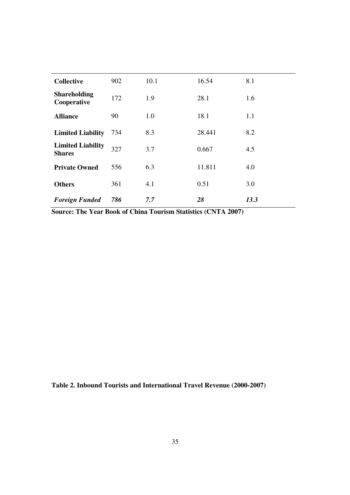| <b>Collective</b>                         | 902 | 10.1 | 16.54  | 8.1  |
|-------------------------------------------|-----|------|--------|------|
| <b>Shareholding</b><br>Cooperative        | 172 | 1.9  | 28.1   | 1.6  |
| <b>Alliance</b>                           | 90  | 1.0  | 18.1   | 1.1  |
| <b>Limited Liability</b>                  | 734 | 8.3  | 28.441 | 8.2  |
| <b>Limited Liability</b><br><b>Shares</b> | 327 | 3.7  | 0.667  | 4.5  |
| <b>Private Owned</b>                      | 556 | 6.3  | 11.811 | 4.0  |
| <b>Others</b>                             | 361 | 4.1  | 0.51   | 3.0  |
| <b>Foreign Funded</b>                     | 786 | 7.7  | 28     | 13.3 |

**Source: The Year Book of China Tourism Statistics (CNTA 2007)** 

**Table 2. Inbound Tourists and International Travel Revenue (2000-2007)**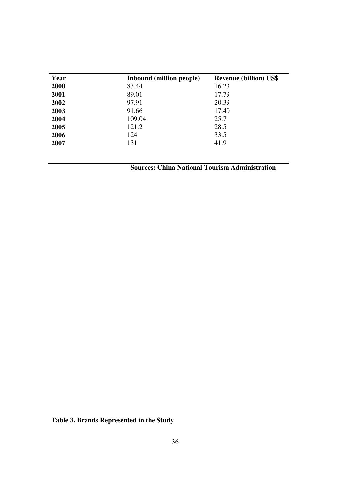| Year | Inbound (million people) | <b>Revenue (billion) US\$</b> |
|------|--------------------------|-------------------------------|
| 2000 | 83.44                    | 16.23                         |
| 2001 | 89.01                    | 17.79                         |
| 2002 | 97.91                    | 20.39                         |
| 2003 | 91.66                    | 17.40                         |
| 2004 | 109.04                   | 25.7                          |
| 2005 | 121.2                    | 28.5                          |
| 2006 | 124                      | 33.5                          |
| 2007 | 131                      | 41.9                          |

 **Sources: China National Tourism Administration** 

**Table 3. Brands Represented in the Study**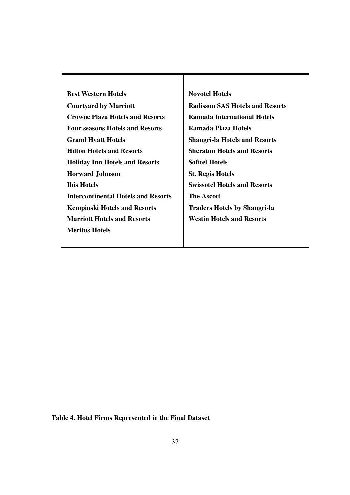| <b>Best Western Hotels</b>                 | <b>Novotel Hotels</b>                  |
|--------------------------------------------|----------------------------------------|
| <b>Courtyard by Marriott</b>               | <b>Radisson SAS Hotels and Resorts</b> |
| <b>Crowne Plaza Hotels and Resorts</b>     | <b>Ramada International Hotels</b>     |
| <b>Four seasons Hotels and Resorts</b>     | Ramada Plaza Hotels                    |
| <b>Grand Hyatt Hotels</b>                  | <b>Shangri-la Hotels and Resorts</b>   |
| <b>Hilton Hotels and Resorts</b>           | <b>Sheraton Hotels and Resorts</b>     |
| <b>Holiday Inn Hotels and Resorts</b>      | <b>Sofitel Hotels</b>                  |
| <b>Horward Johnson</b>                     | <b>St. Regis Hotels</b>                |
| <b>Ibis Hotels</b>                         | <b>Swissotel Hotels and Resorts</b>    |
| <b>Intercontinental Hotels and Resorts</b> | <b>The Ascott</b>                      |
| <b>Kempinski Hotels and Resorts</b>        | <b>Traders Hotels by Shangri-la</b>    |
| <b>Marriott Hotels and Resorts</b>         | <b>Westin Hotels and Resorts</b>       |
| <b>Meritus Hotels</b>                      |                                        |
|                                            |                                        |

**Table 4. Hotel Firms Represented in the Final Dataset**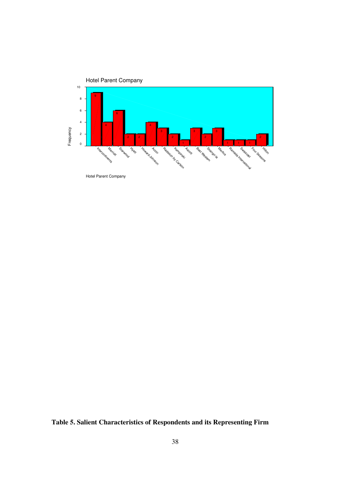

**Table 5. Salient Characteristics of Respondents and its Representing Firm**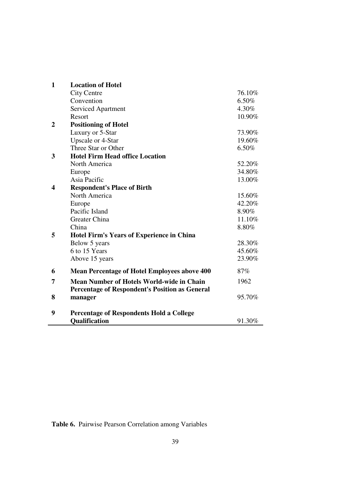| $\mathbf{1}$   | <b>Location of Hotel</b>                              |        |
|----------------|-------------------------------------------------------|--------|
|                | <b>City Centre</b>                                    | 76.10% |
|                | Convention                                            | 6.50%  |
|                | <b>Serviced Apartment</b>                             | 4.30%  |
|                | Resort                                                | 10.90% |
| $\overline{2}$ | <b>Positioning of Hotel</b>                           |        |
|                | Luxury or 5-Star                                      | 73.90% |
|                | <b>Upscale or 4-Star</b>                              | 19.60% |
|                | Three Star or Other                                   | 6.50%  |
| 3              | <b>Hotel Firm Head office Location</b>                |        |
|                | North America                                         | 52.20% |
|                | Europe                                                | 34.80% |
|                | Asia Pacific                                          | 13.00% |
| 4              | <b>Respondent's Place of Birth</b>                    |        |
|                | North America                                         | 15.60% |
|                | Europe                                                | 42.20% |
|                | Pacific Island                                        | 8.90%  |
|                | Greater China                                         | 11.10% |
|                | China                                                 | 8.80%  |
| 5              | <b>Hotel Firm's Years of Experience in China</b>      |        |
|                | Below 5 years                                         | 28.30% |
|                | 6 to 15 Years                                         | 45.60% |
|                | Above 15 years                                        | 23.90% |
| 6              | <b>Mean Percentage of Hotel Employees above 400</b>   | 87%    |
| 7              | <b>Mean Number of Hotels World-wide in Chain</b>      | 1962   |
|                | <b>Percentage of Respondent's Position as General</b> |        |
| 8              | manager                                               | 95.70% |
| 9              | <b>Percentage of Respondents Hold a College</b>       |        |
|                | Qualification                                         | 91.30% |
|                |                                                       |        |

**Table 6.** Pairwise Pearson Correlation among Variables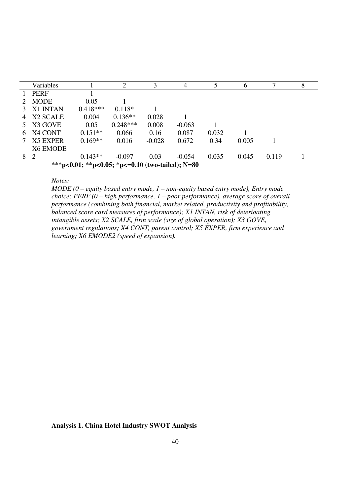|    | Variables                                        |            | $\overline{2}$ | 3        | 4        |       | O     | ⇁     | 8 |
|----|--------------------------------------------------|------------|----------------|----------|----------|-------|-------|-------|---|
|    | <b>PERF</b>                                      |            |                |          |          |       |       |       |   |
|    | <b>MODE</b>                                      | 0.05       |                |          |          |       |       |       |   |
|    | X1 INTAN                                         | $0.418***$ | $0.118*$       |          |          |       |       |       |   |
| 4  | X <sub>2</sub> SCALE                             | 0.004      | $0.136**$      | 0.028    |          |       |       |       |   |
| 5. | X3 GOVE                                          | 0.05       | $0.248***$     | 0.008    | $-0.063$ |       |       |       |   |
| 6. | X4 CONT                                          | $0.151**$  | 0.066          | 0.16     | 0.087    | 0.032 |       |       |   |
|    | <b>X5 EXPER</b>                                  | $0.169**$  | 0.016          | $-0.028$ | 0.672    | 0.34  | 0.005 |       |   |
|    | X6 EMODE                                         |            |                |          |          |       |       |       |   |
| 8  | <sup>2</sup>                                     | $0.143**$  | $-0.097$       | 0.03     | $-0.054$ | 0.035 | 0.045 | 0.119 |   |
|    | ***p<0.01; **p<0.05; *p<=0.10 (two-tailed); N=80 |            |                |          |          |       |       |       |   |

#### *Notes:*

*MODE (0 – equity based entry mode, 1 – non-equity based entry mode), Entry mode choice; PERF (0 – high performance, 1 – poor performance), average score of overall performance (combining both financial, market related, productivity and profitability, balanced score card measures of performance); X1 INTAN, risk of deterioating intangible assets; X2 SCALE, firm scale (size of global operation); X3 GOVE, government regulations; X4 CONT, parent control; X5 EXPER, firm experience and learning; X6 EMODE2 (speed of expansion).* 

**Analysis 1. China Hotel Industry SWOT Analysis**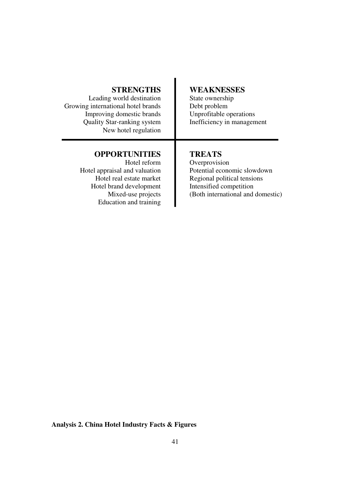# **STRENGTHS**

Leading world destination Growing international hotel brands Improving domestic brands Quality Star-ranking system New hotel regulation

# **OPPORTUNITIES**

Hotel reform Hotel appraisal and valuation Hotel real estate market Hotel brand development Mixed-use projects Education and training

# **WEAKNESSES**

State ownership Debt problem Unprofitable operations Inefficiency in management

# **TREATS**

Overprovision Potential economic slowdown Regional political tensions Intensified competition (Both international and domestic)

**Analysis 2. China Hotel Industry Facts & Figures**